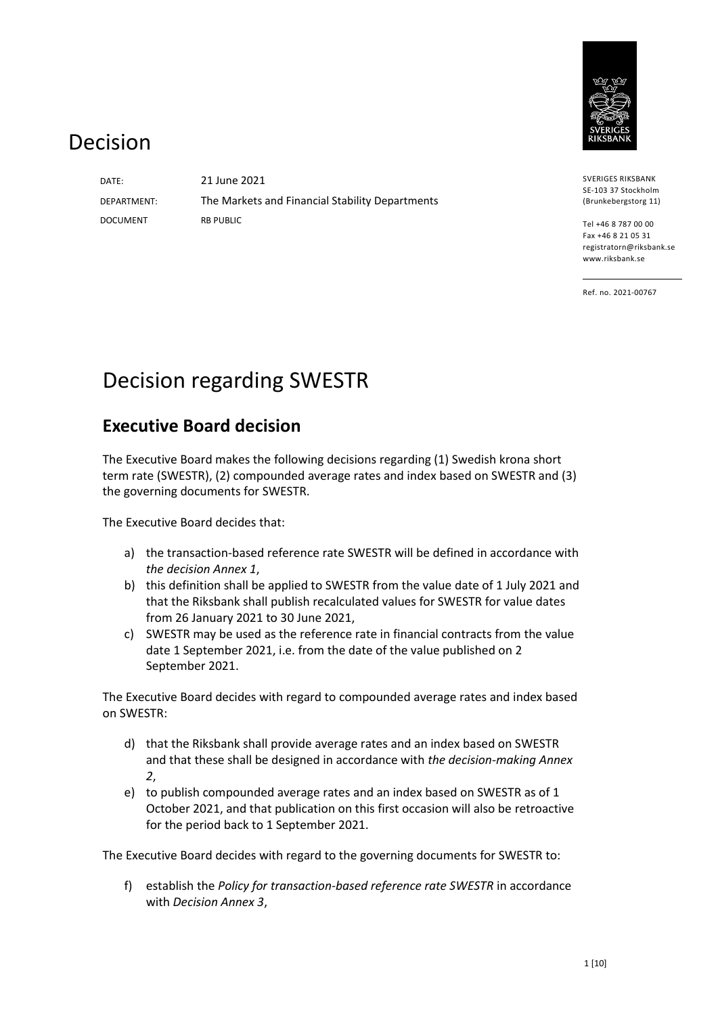

# Decision

DOCUMENT

DATE: 21 June 2021 DEPARTMENT: The Markets and Financial Stability Departments RB PUBLIC

SVERIGES RIKSBANK SE-103 37 Stockholm (Brunkebergstorg 11)

Tel +46 8 787 00 00 Fax +46 8 21 05 31 registratorn@riksbank.se www.riksbank.se

Ref. no. 2021-00767

# Decision regarding SWESTR

# **Executive Board decision**

The Executive Board makes the following decisions regarding (1) Swedish krona short term rate (SWESTR), (2) compounded average rates and index based on SWESTR and (3) the governing documents for SWESTR.

The Executive Board decides that:

- a) the transaction-based reference rate SWESTR will be defined in accordance with *the decision Annex 1*,
- b) this definition shall be applied to SWESTR from the value date of 1 July 2021 and that the Riksbank shall publish recalculated values for SWESTR for value dates from 26 January 2021 to 30 June 2021,
- c) SWESTR may be used as the reference rate in financial contracts from the value date 1 September 2021, i.e. from the date of the value published on 2 September 2021.

The Executive Board decides with regard to compounded average rates and index based on SWESTR:

- d) that the Riksbank shall provide average rates and an index based on SWESTR and that these shall be designed in accordance with *the decision-making Annex 2*,
- e) to publish compounded average rates and an index based on SWESTR as of 1 October 2021, and that publication on this first occasion will also be retroactive for the period back to 1 September 2021.

The Executive Board decides with regard to the governing documents for SWESTR to:

f) establish the *Policy for transaction-based reference rate SWESTR* in accordance with *Decision Annex 3*,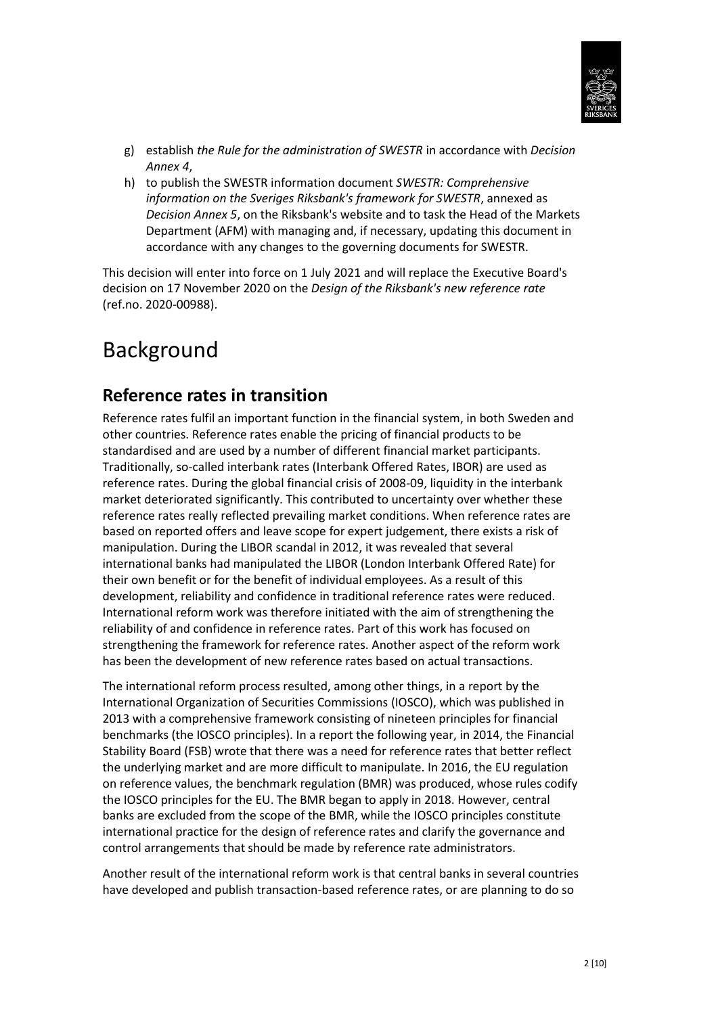

- g) establish *the Rule for the administration of SWESTR* in accordance with *Decision Annex 4*,
- h) to publish the SWESTR information document *SWESTR: Comprehensive information on the Sveriges Riksbank's framework for SWESTR*, annexed as *Decision Annex 5*, on the Riksbank's website and to task the Head of the Markets Department (AFM) with managing and, if necessary, updating this document in accordance with any changes to the governing documents for SWESTR.

This decision will enter into force on 1 July 2021 and will replace the Executive Board's decision on 17 November 2020 on the *Design of the Riksbank's new reference rate* (ref.no. 2020-00988).

# Background

# **Reference rates in transition**

Reference rates fulfil an important function in the financial system, in both Sweden and other countries. Reference rates enable the pricing of financial products to be standardised and are used by a number of different financial market participants. Traditionally, so-called interbank rates (Interbank Offered Rates, IBOR) are used as reference rates. During the global financial crisis of 2008-09, liquidity in the interbank market deteriorated significantly. This contributed to uncertainty over whether these reference rates really reflected prevailing market conditions. When reference rates are based on reported offers and leave scope for expert judgement, there exists a risk of manipulation. During the LIBOR scandal in 2012, it was revealed that several international banks had manipulated the LIBOR (London Interbank Offered Rate) for their own benefit or for the benefit of individual employees. As a result of this development, reliability and confidence in traditional reference rates were reduced. International reform work was therefore initiated with the aim of strengthening the reliability of and confidence in reference rates. Part of this work has focused on strengthening the framework for reference rates. Another aspect of the reform work has been the development of new reference rates based on actual transactions.

The international reform process resulted, among other things, in a report by the International Organization of Securities Commissions (IOSCO), which was published in 2013 with a comprehensive framework consisting of nineteen principles for financial benchmarks (the IOSCO principles). In a report the following year, in 2014, the Financial Stability Board (FSB) wrote that there was a need for reference rates that better reflect the underlying market and are more difficult to manipulate. In 2016, the EU regulation on reference values, the benchmark regulation (BMR) was produced, whose rules codify the IOSCO principles for the EU. The BMR began to apply in 2018. However, central banks are excluded from the scope of the BMR, while the IOSCO principles constitute international practice for the design of reference rates and clarify the governance and control arrangements that should be made by reference rate administrators.

Another result of the international reform work is that central banks in several countries have developed and publish transaction-based reference rates, or are planning to do so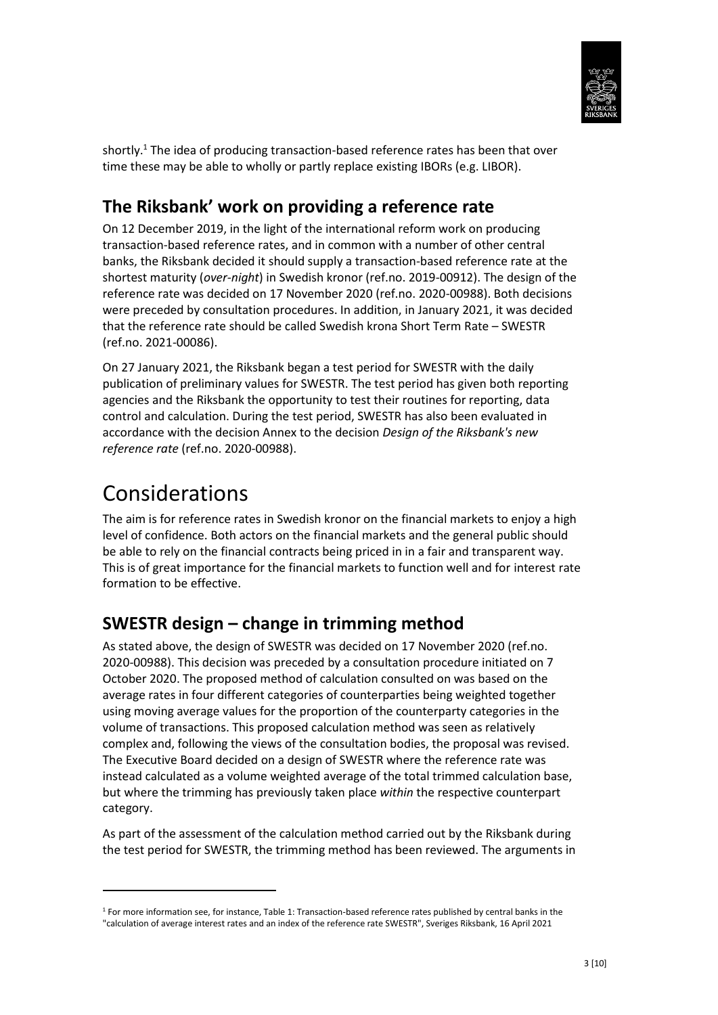

shortly.<sup>1</sup> The idea of producing transaction-based reference rates has been that over time these may be able to wholly or partly replace existing IBORs (e.g. LIBOR).

# **The Riksbank' work on providing a reference rate**

On 12 December 2019, in the light of the international reform work on producing transaction-based reference rates, and in common with a number of other central banks, the Riksbank decided it should supply a transaction-based reference rate at the shortest maturity (*over-night*) in Swedish kronor (ref.no. 2019-00912). The design of the reference rate was decided on 17 November 2020 (ref.no. 2020-00988). Both decisions were preceded by consultation procedures. In addition, in January 2021, it was decided that the reference rate should be called Swedish krona Short Term Rate – SWESTR (ref.no. 2021-00086).

On 27 January 2021, the Riksbank began a test period for SWESTR with the daily publication of preliminary values for SWESTR. The test period has given both reporting agencies and the Riksbank the opportunity to test their routines for reporting, data control and calculation. During the test period, SWESTR has also been evaluated in accordance with the decision Annex to the decision *Design of the Riksbank's new reference rate* (ref.no. 2020-00988).

# Considerations

1

The aim is for reference rates in Swedish kronor on the financial markets to enjoy a high level of confidence. Both actors on the financial markets and the general public should be able to rely on the financial contracts being priced in in a fair and transparent way. This is of great importance for the financial markets to function well and for interest rate formation to be effective.

# **SWESTR design – change in trimming method**

As stated above, the design of SWESTR was decided on 17 November 2020 (ref.no. 2020-00988). This decision was preceded by a consultation procedure initiated on 7 October 2020. The proposed method of calculation consulted on was based on the average rates in four different categories of counterparties being weighted together using moving average values for the proportion of the counterparty categories in the volume of transactions. This proposed calculation method was seen as relatively complex and, following the views of the consultation bodies, the proposal was revised. The Executive Board decided on a design of SWESTR where the reference rate was instead calculated as a volume weighted average of the total trimmed calculation base, but where the trimming has previously taken place *within* the respective counterpart category.

As part of the assessment of the calculation method carried out by the Riksbank during the test period for SWESTR, the trimming method has been reviewed. The arguments in

<sup>1</sup> For more information see, for instance, Table 1: Transaction-based reference rates published by central banks in the "calculation of average interest rates and an index of the reference rate SWESTR", Sveriges Riksbank, 16 April 2021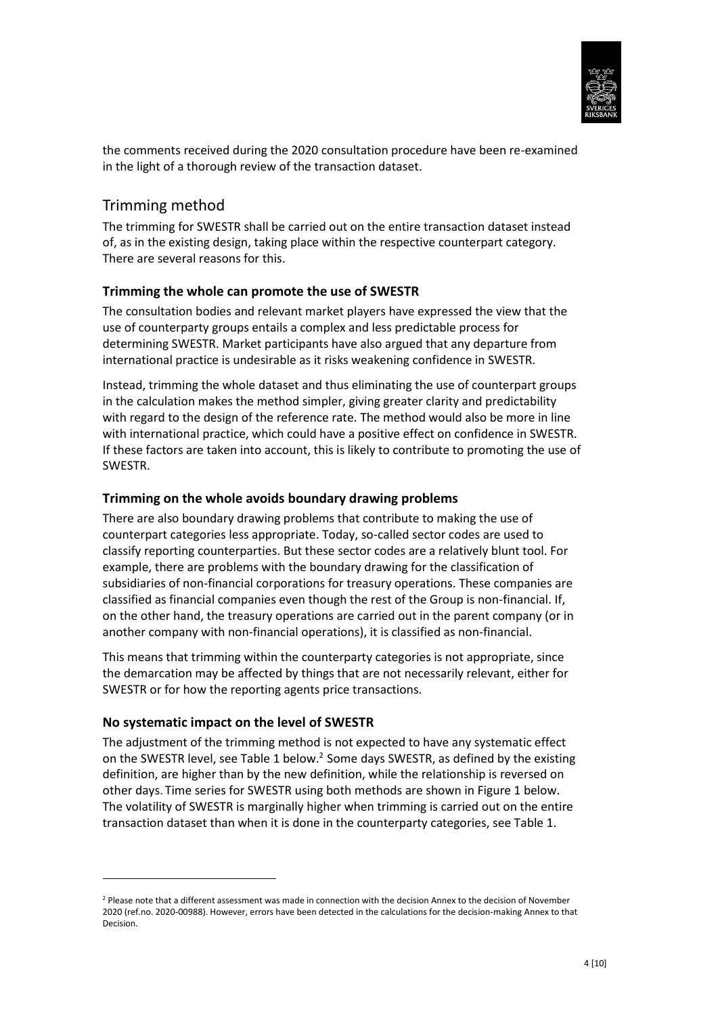

the comments received during the 2020 consultation procedure have been re-examined in the light of a thorough review of the transaction dataset.

### Trimming method

The trimming for SWESTR shall be carried out on the entire transaction dataset instead of, as in the existing design, taking place within the respective counterpart category. There are several reasons for this.

#### **Trimming the whole can promote the use of SWESTR**

The consultation bodies and relevant market players have expressed the view that the use of counterparty groups entails a complex and less predictable process for determining SWESTR. Market participants have also argued that any departure from international practice is undesirable as it risks weakening confidence in SWESTR.

Instead, trimming the whole dataset and thus eliminating the use of counterpart groups in the calculation makes the method simpler, giving greater clarity and predictability with regard to the design of the reference rate. The method would also be more in line with international practice, which could have a positive effect on confidence in SWESTR. If these factors are taken into account, this is likely to contribute to promoting the use of SWESTR.

#### **Trimming on the whole avoids boundary drawing problems**

There are also boundary drawing problems that contribute to making the use of counterpart categories less appropriate. Today, so-called sector codes are used to classify reporting counterparties. But these sector codes are a relatively blunt tool. For example, there are problems with the boundary drawing for the classification of subsidiaries of non-financial corporations for treasury operations. These companies are classified as financial companies even though the rest of the Group is non-financial. If, on the other hand, the treasury operations are carried out in the parent company (or in another company with non-financial operations), it is classified as non-financial.

This means that trimming within the counterparty categories is not appropriate, since the demarcation may be affected by things that are not necessarily relevant, either for SWESTR or for how the reporting agents price transactions.

#### **No systematic impact on the level of SWESTR**

**.** 

The adjustment of the trimming method is not expected to have any systematic effect on the SWESTR level, see Table 1 below.<sup>2</sup> Some days SWESTR, as defined by the existing definition, are higher than by the new definition, while the relationship is reversed on other days. Time series for SWESTR using both methods are shown in Figure 1 below. The volatility of SWESTR is marginally higher when trimming is carried out on the entire transaction dataset than when it is done in the counterparty categories, see Table 1.

<sup>&</sup>lt;sup>2</sup> Please note that a different assessment was made in connection with the decision Annex to the decision of November 2020 (ref.no. 2020-00988). However, errors have been detected in the calculations for the decision-making Annex to that Decision.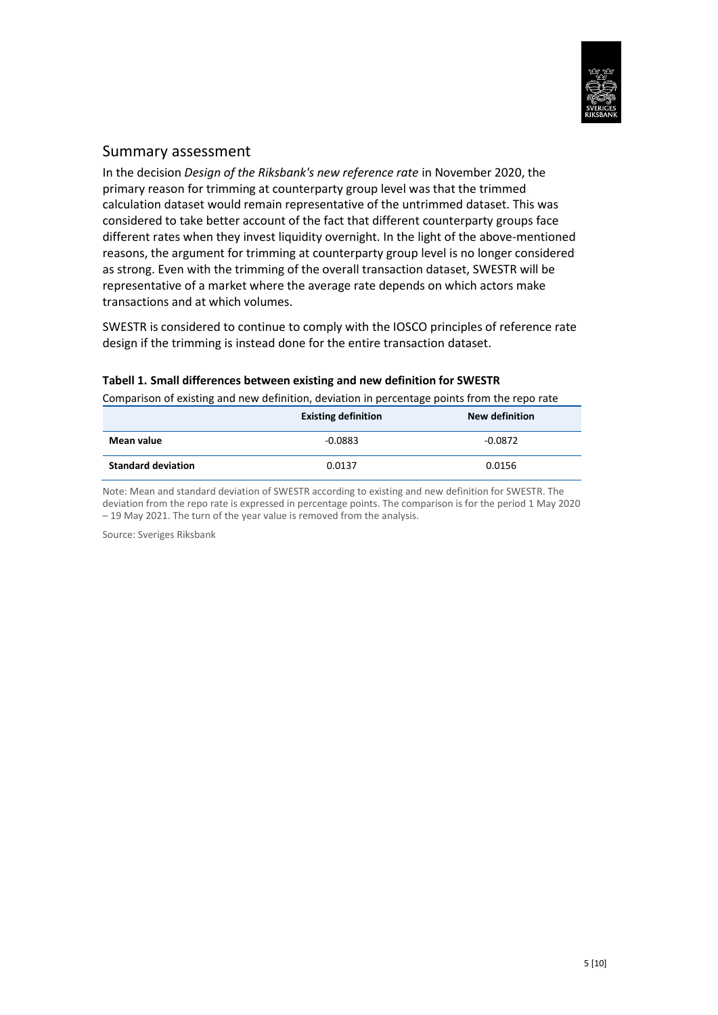

#### Summary assessment

In the decision *Design of the Riksbank's new reference rate* in November 2020, the primary reason for trimming at counterparty group level was that the trimmed calculation dataset would remain representative of the untrimmed dataset. This was considered to take better account of the fact that different counterparty groups face different rates when they invest liquidity overnight. In the light of the above-mentioned reasons, the argument for trimming at counterparty group level is no longer considered as strong. Even with the trimming of the overall transaction dataset, SWESTR will be representative of a market where the average rate depends on which actors make transactions and at which volumes.

SWESTR is considered to continue to comply with the IOSCO principles of reference rate design if the trimming is instead done for the entire transaction dataset.

| Comparison of existing and new definition, deviation in percentage points from the repo rate |                            |                       |
|----------------------------------------------------------------------------------------------|----------------------------|-----------------------|
|                                                                                              | <b>Existing definition</b> | <b>New definition</b> |
| Mean value                                                                                   | $-0.0883$                  | $-0.0872$             |
| <b>Standard deviation</b>                                                                    | 0.0137                     | 0.0156                |

#### **Tabell 1. Small differences between existing and new definition for SWESTR**

Note: Mean and standard deviation of SWESTR according to existing and new definition for SWESTR. The deviation from the repo rate is expressed in percentage points. The comparison is for the period 1 May 2020 – 19 May 2021. The turn of the year value is removed from the analysis.

Source: Sveriges Riksbank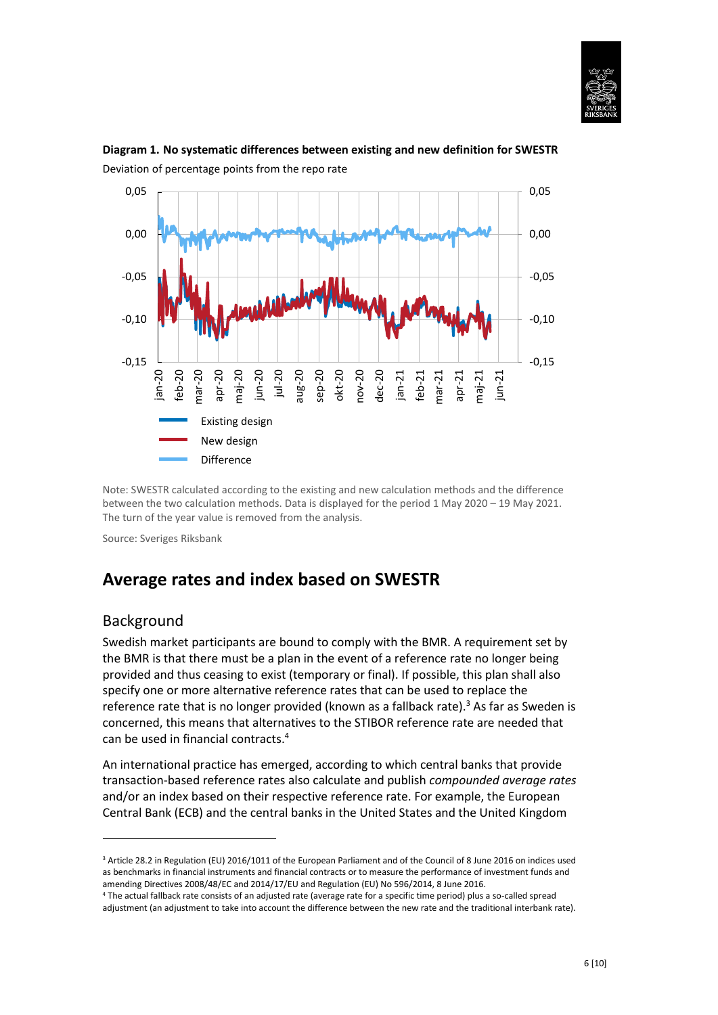



#### **Diagram 1. No systematic differences between existing and new definition for SWESTR** Deviation of percentage points from the repo rate

Note: SWESTR calculated according to the existing and new calculation methods and the difference between the two calculation methods. Data is displayed for the period 1 May 2020 – 19 May 2021. The turn of the year value is removed from the analysis.

Source: Sveriges Riksbank

## **Average rates and index based on SWESTR**

### Background

1

Swedish market participants are bound to comply with the BMR. A requirement set by the BMR is that there must be a plan in the event of a reference rate no longer being provided and thus ceasing to exist (temporary or final). If possible, this plan shall also specify one or more alternative reference rates that can be used to replace the reference rate that is no longer provided (known as a fallback rate).<sup>3</sup> As far as Sweden is concerned, this means that alternatives to the STIBOR reference rate are needed that can be used in financial contracts.<sup>4</sup>

An international practice has emerged, according to which central banks that provide transaction-based reference rates also calculate and publish *compounded average rates* and/or an index based on their respective reference rate. For example, the European Central Bank (ECB) and the central banks in the United States and the United Kingdom

<sup>3</sup> Article 28.2 in Regulation (EU) 2016/1011 of the European Parliament and of the Council of 8 June 2016 on indices used as benchmarks in financial instruments and financial contracts or to measure the performance of investment funds and amending Directives 2008/48/EC and 2014/17/EU and Regulation (EU) No 596/2014, 8 June 2016.

<sup>4</sup> The actual fallback rate consists of an adjusted rate (average rate for a specific time period) plus a so-called spread adjustment (an adjustment to take into account the difference between the new rate and the traditional interbank rate).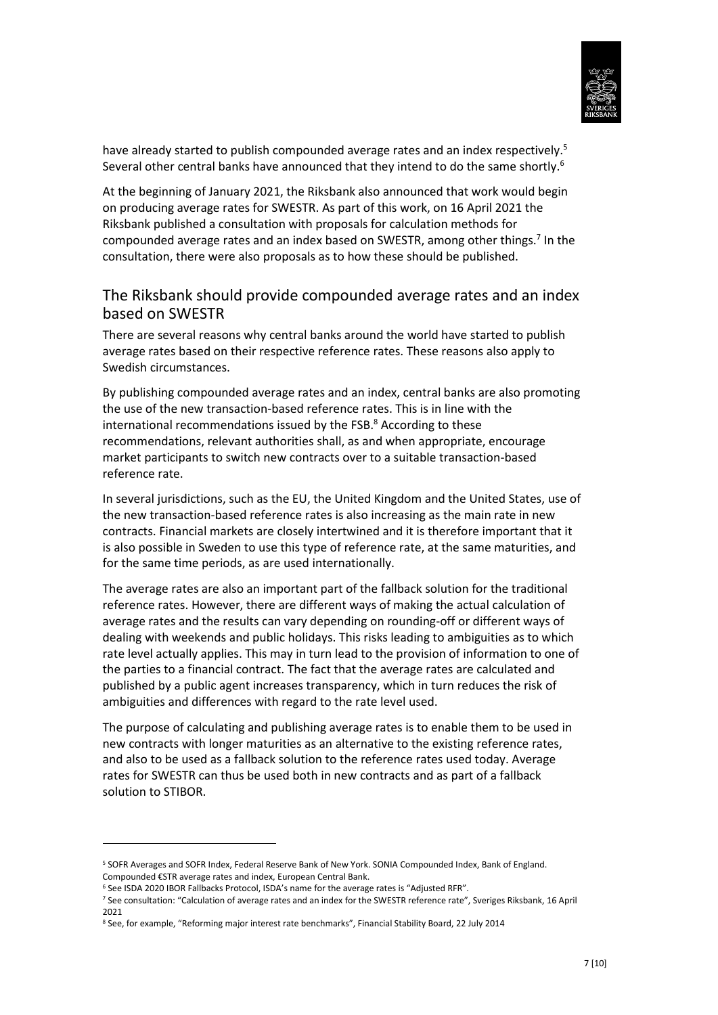

have already started to publish compounded average rates and an index respectively.<sup>5</sup> Several other central banks have announced that they intend to do the same shortly.<sup>6</sup>

At the beginning of January 2021, the Riksbank also announced that work would begin on producing average rates for SWESTR. As part of this work, on 16 April 2021 the Riksbank published a consultation with proposals for calculation methods for compounded average rates and an index based on SWESTR, among other things.<sup>7</sup> In the consultation, there were also proposals as to how these should be published.

### The Riksbank should provide compounded average rates and an index based on SWESTR

There are several reasons why central banks around the world have started to publish average rates based on their respective reference rates. These reasons also apply to Swedish circumstances.

By publishing compounded average rates and an index, central banks are also promoting the use of the new transaction-based reference rates. This is in line with the international recommendations issued by the FSB. $8$  According to these recommendations, relevant authorities shall, as and when appropriate, encourage market participants to switch new contracts over to a suitable transaction-based reference rate.

In several jurisdictions, such as the EU, the United Kingdom and the United States, use of the new transaction-based reference rates is also increasing as the main rate in new contracts. Financial markets are closely intertwined and it is therefore important that it is also possible in Sweden to use this type of reference rate, at the same maturities, and for the same time periods, as are used internationally.

The average rates are also an important part of the fallback solution for the traditional reference rates. However, there are different ways of making the actual calculation of average rates and the results can vary depending on rounding-off or different ways of dealing with weekends and public holidays. This risks leading to ambiguities as to which rate level actually applies. This may in turn lead to the provision of information to one of the parties to a financial contract. The fact that the average rates are calculated and published by a public agent increases transparency, which in turn reduces the risk of ambiguities and differences with regard to the rate level used.

The purpose of calculating and publishing average rates is to enable them to be used in new contracts with longer maturities as an alternative to the existing reference rates, and also to be used as a fallback solution to the reference rates used today. Average rates for SWESTR can thus be used both in new contracts and as part of a fallback solution to STIBOR.

**.** 

<sup>5</sup> SOFR Averages and SOFR Index, Federal Reserve Bank of New York. SONIA Compounded Index, Bank of England. Compounded €STR average rates and index, European Central Bank.

<sup>&</sup>lt;sup>6</sup> See ISDA 2020 IBOR Fallbacks Protocol, ISDA's name for the average rates is "Adjusted RFR".

<sup>&</sup>lt;sup>7</sup> See consultation: "Calculation of average rates and an index for the SWESTR reference rate", Sveriges Riksbank, 16 April 2021

<sup>8</sup> See, for example, "Reforming major interest rate benchmarks", Financial Stability Board, 22 July 2014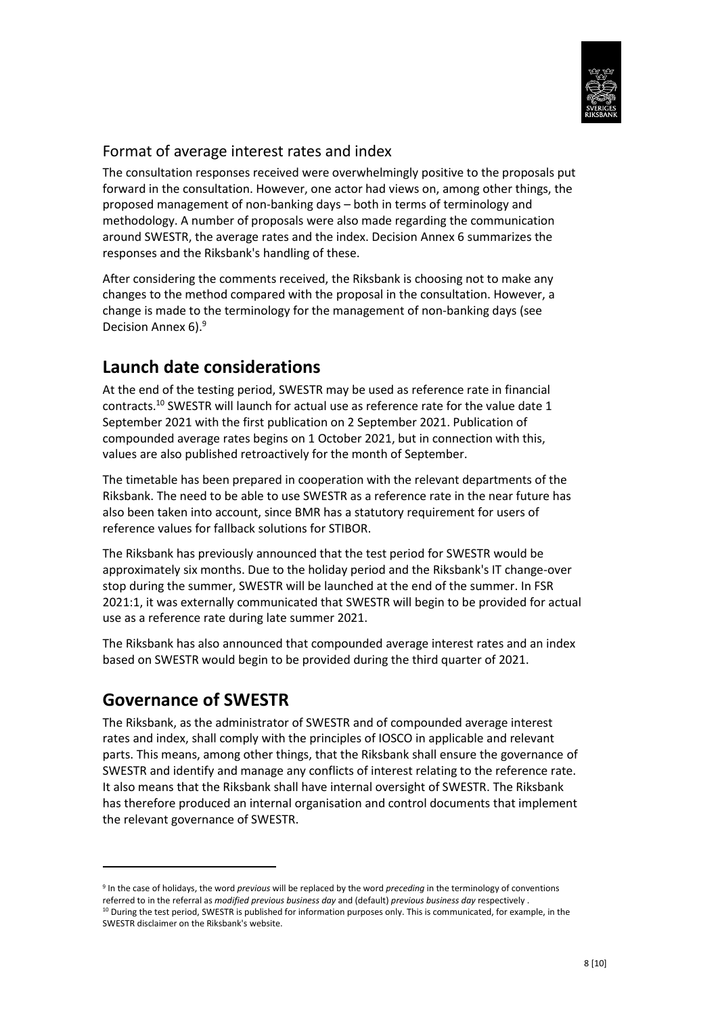

### Format of average interest rates and index

The consultation responses received were overwhelmingly positive to the proposals put forward in the consultation. However, one actor had views on, among other things, the proposed management of non-banking days – both in terms of terminology and methodology. A number of proposals were also made regarding the communication around SWESTR, the average rates and the index. Decision Annex 6 summarizes the responses and the Riksbank's handling of these.

After considering the comments received, the Riksbank is choosing not to make any changes to the method compared with the proposal in the consultation. However, a change is made to the terminology for the management of non-banking days (see Decision Annex 6).<sup>9</sup>

# **Launch date considerations**

At the end of the testing period, SWESTR may be used as reference rate in financial contracts.<sup>10</sup> SWESTR will launch for actual use as reference rate for the value date 1 September 2021 with the first publication on 2 September 2021. Publication of compounded average rates begins on 1 October 2021, but in connection with this, values are also published retroactively for the month of September.

The timetable has been prepared in cooperation with the relevant departments of the Riksbank. The need to be able to use SWESTR as a reference rate in the near future has also been taken into account, since BMR has a statutory requirement for users of reference values for fallback solutions for STIBOR.

The Riksbank has previously announced that the test period for SWESTR would be approximately six months. Due to the holiday period and the Riksbank's IT change-over stop during the summer, SWESTR will be launched at the end of the summer. In FSR 2021:1, it was externally communicated that SWESTR will begin to be provided for actual use as a reference rate during late summer 2021.

The Riksbank has also announced that compounded average interest rates and an index based on SWESTR would begin to be provided during the third quarter of 2021.

# **Governance of SWESTR**

**.** 

The Riksbank, as the administrator of SWESTR and of compounded average interest rates and index, shall comply with the principles of IOSCO in applicable and relevant parts. This means, among other things, that the Riksbank shall ensure the governance of SWESTR and identify and manage any conflicts of interest relating to the reference rate. It also means that the Riksbank shall have internal oversight of SWESTR. The Riksbank has therefore produced an internal organisation and control documents that implement the relevant governance of SWESTR.

<sup>9</sup> In the case of holidays, the word *previous* will be replaced by the word *preceding* in the terminology of conventions referred to in the referral as *modified previous business day* and (default) *previous business day* respectively .

<sup>&</sup>lt;sup>10</sup> During the test period, SWESTR is published for information purposes only. This is communicated, for example, in the SWESTR disclaimer on the Riksbank's website.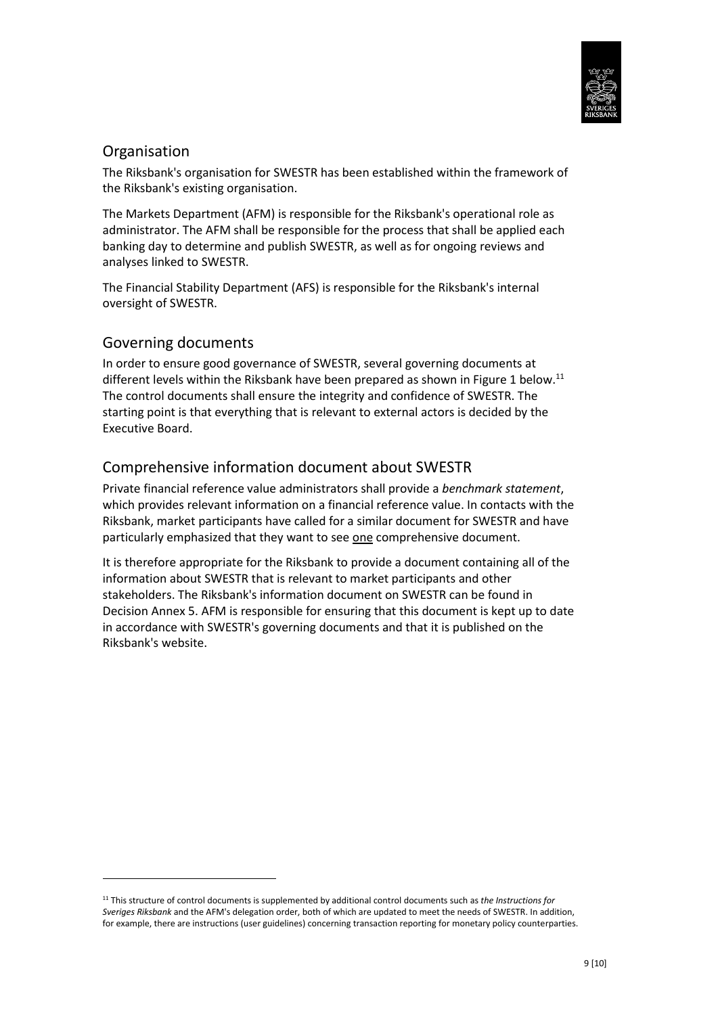

### Organisation

The Riksbank's organisation for SWESTR has been established within the framework of the Riksbank's existing organisation.

The Markets Department (AFM) is responsible for the Riksbank's operational role as administrator. The AFM shall be responsible for the process that shall be applied each banking day to determine and publish SWESTR, as well as for ongoing reviews and analyses linked to SWESTR.

The Financial Stability Department (AFS) is responsible for the Riksbank's internal oversight of SWESTR.

### Governing documents

**.** 

In order to ensure good governance of SWESTR, several governing documents at different levels within the Riksbank have been prepared as shown in Figure 1 below.<sup>11</sup> The control documents shall ensure the integrity and confidence of SWESTR. The starting point is that everything that is relevant to external actors is decided by the Executive Board.

### Comprehensive information document about SWESTR

Private financial reference value administrators shall provide a *benchmark statement*, which provides relevant information on a financial reference value. In contacts with the Riksbank, market participants have called for a similar document for SWESTR and have particularly emphasized that they want to see one comprehensive document.

It is therefore appropriate for the Riksbank to provide a document containing all of the information about SWESTR that is relevant to market participants and other stakeholders. The Riksbank's information document on SWESTR can be found in Decision Annex 5. AFM is responsible for ensuring that this document is kept up to date in accordance with SWESTR's governing documents and that it is published on the Riksbank's website.

<sup>11</sup> This structure of control documents is supplemented by additional control documents such as *the Instructions for Sveriges Riksbank* and the AFM's delegation order, both of which are updated to meet the needs of SWESTR. In addition, for example, there are instructions (user guidelines) concerning transaction reporting for monetary policy counterparties.